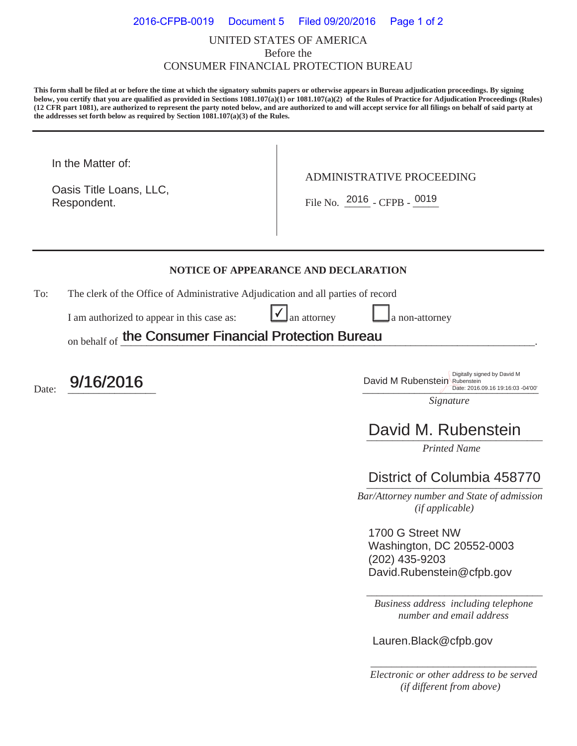### UNITED STATES OF AMERICA Before the CONSUMER FINANCIAL PROTECTION BUREAU 2016-CFPB-0019 Document 5 Filed 09/20/2016 Page 1 of 2

**This form shall be filed at or before the time at which the signatory submits papers or otherwise appears in Bureau adjudication proceedings. By signing below, you certify that you are qualified as provided in Sections 1081.107(a)(1) or 1081.107(a)(2) of the Rules of Practice for Adjudication Proceedings (Rules) (12 CFR part 1081), are authorized to represent the party noted below, and are authorized to and will accept service for all filings on behalf of said party at the addresses set forth below as required by Section 1081.107(a)(3) of the Rules.** 

In the Matter of:

Respondent. Oasis Title Loans, LLC, ADMINISTRATIVE PROCEEDING

Respondent.  $\begin{array}{|c|c|c|c|c|}\n\hline\n\text{File No.} & \text{2016 } - \text{CFPB -} & \text{0019}\n\end{array}$ 

#### **NOTICE OF APPEARANCE AND DECLARATION**

 $\checkmark$ 

To: The clerk of the Office of Administrative Adjudication and all parties of record

I am authorized to appear in this case as:  $\Box$  an attorney  $\Box$  a non-attorney

on behalf of the Consumer Financial Protection Bureau the Consumer Financial Protection Bureau

Date: 9/16/2016

**9/16/2016** David M Rubenstein Digitally signed by David M<br>David M Rubenstein Digitally signed by David M<br>Date: 2016.09.16 19:16:03 Date: 2016.09.16 19:16:03 -04'00'

*Signature* 

# David M. Rubenstein

*Printed Name* 

## District of Columbia 458770

 *Bar/Attorney number and State of admission (if applicable)*

1700 G Street NW Washington, DC 20552-0003 (202) 435-9203 David.Rubenstein@cfpb.gov

*Business address including telephone number and email address* 

\_\_\_\_\_\_\_\_\_\_\_\_\_\_\_\_\_\_\_\_\_\_\_\_\_\_\_\_\_\_\_\_\_\_

Lauren.Black@cfpb.gov

*\_\_\_\_\_\_\_\_\_\_\_\_\_\_\_\_\_\_\_\_\_\_\_\_\_\_\_\_\_\_\_\_ Electronic or other address to be served (if different from above)*